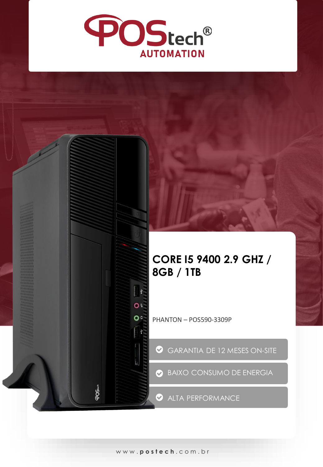

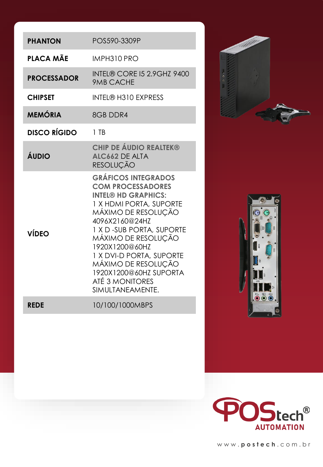| <b>PHANTON</b>      | POS590-3309P                                                                                                                                                                                                                                                                                                                                        |
|---------------------|-----------------------------------------------------------------------------------------------------------------------------------------------------------------------------------------------------------------------------------------------------------------------------------------------------------------------------------------------------|
| PLACA MÃE           | IMPH310 PRO                                                                                                                                                                                                                                                                                                                                         |
| <b>PROCESSADOR</b>  | <b>INTEL® CORE I5 2.9GHZ 9400</b><br>9MB CACHE                                                                                                                                                                                                                                                                                                      |
| <b>CHIPSET</b>      | <b>INTEL® H310 EXPRESS</b>                                                                                                                                                                                                                                                                                                                          |
| <b>MEMÓRIA</b>      | 8GB DDR4                                                                                                                                                                                                                                                                                                                                            |
| <b>DISCO RÍGIDO</b> | $1$ TB                                                                                                                                                                                                                                                                                                                                              |
| ÁUDIO               | <b>CHIP DE ÁUDIO REALTEK®</b><br>ALC662 DE ALTA<br>RESOLUÇÃO                                                                                                                                                                                                                                                                                        |
| VÍDEO               | <b>GRÁFICOS INTEGRADOS</b><br><b>COM PROCESSADORES</b><br><b>INTEL® HD GRAPHICS:</b><br>1 X HDMI PORTA, SUPORTE<br>MÁXIMO DE RESOLUÇÃO<br>4096X2160@24HZ<br>1 X D - SUB PORTA, SUPORTE<br>MÁXIMO DE RESOLUÇÃO<br>1920X1200@60HZ<br>1 X DVI-D PORTA, SUPORTE<br>MÁXIMO DE RESOLUÇÃO<br>1920X1200@60HZ SUPORTA<br>ATÉ 3 MONITORES<br>SIMULTANEAMENTE. |
| <b>REDE</b>         | 10/100/1000MBPS                                                                                                                                                                                                                                                                                                                                     |